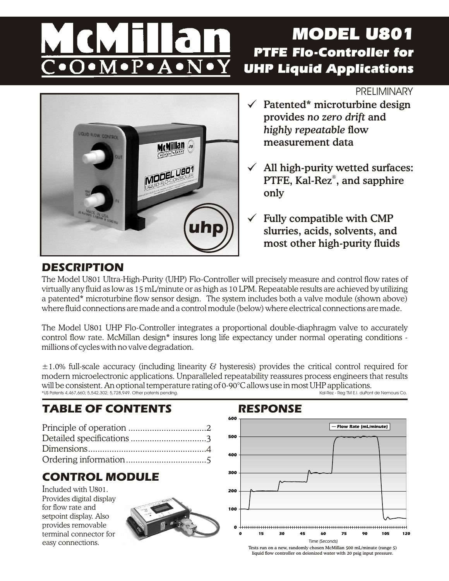# $\overline{\mathbf{M}}\!\bullet\!\overline{\mathbf{P}}\!\bullet\!\mathbf{A}\!\bullet\!\overline{\mathbf{N}}\!\bullet\!\overline{\mathbf{M}}$

# *MODEL U801 PTFE Flo-Controller for UHP Liquid Applications*

## **PRELIMINARY**



# Patented\* microturbine design provides *no zero drift* and *highly repeatable* flow measurement data

- All high-purity wetted surfaces: PTFE, Kal-Rez®, and sapphire only
- $\checkmark$  Fully compatible with CMP slurries, acids, solvents, and most other high-purity fluids

# **DESCRIPTION**

The Model U801 Ultra-High-Purity (UHP) Flo-Controller will precisely measure and control flow rates of virtually any fluid as low as 15 mL/minute or as high as 10 LPM. Repeatable results are achieved by utilizing a patented\* microturbine flow sensor design. The system includes both a valve module (shown above) where fluid connections are made and a control module (below) where electrical connections are made.

The Model U801 UHP Flo-Controller integrates a proportional double-diaphragm valve to accurately control flow rate. McMillan design\* insures long life expectancy under normal operating conditions millions of cycles with no valve degradation.

±1.0% full-scale accuracy (including linearity & hysteresis) provides the critical control required for modern microelectronic applications. Unparalleled repeatability reassures process engineers that results Will be consistent. An optional temperature rating of 0-90°C allows use in most UHP applications.<br>\*US Potents 4.467.660: 5.542.302: 5.728.949. Other potents pending.  $*$ US Patents 4,467,660; 5,542,302; 5,728,949. Other patents pending.

# **TABLE OF CONTENTS RESPONSE**

Principle of operation .................................2 Detailed specifications ................................3 Dimensions..................................................4 Ordering information..................................5

# **CONTROL MODULE**

Included with U801. Provides digital display for flow rate and setpoint display. Also provides removable terminal connector for easy connections.





Tests run on a new, randomly chosen McMillan 500 mL/minute (range 5) liquid flow controller on deionized water with 20 psig input pressure.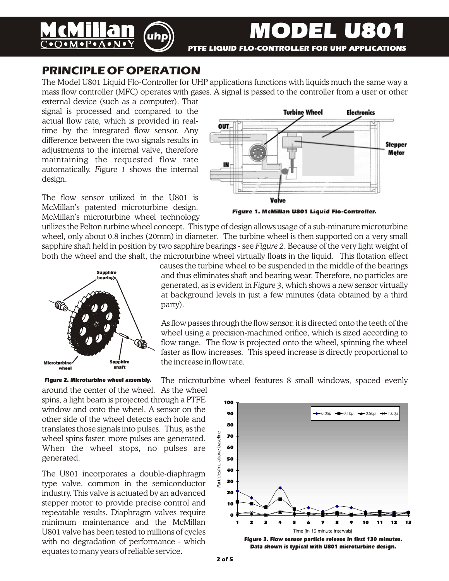

# **PRINCIPLE OF OPERATION**

The Model U801 Liquid Flo-Controller for UHP applications functions with liquids much the same way a mass flow controller (MFC) operates with gases. A signal is passed to the controller from a user or other

external device (such as a computer). That signal is processed and compared to the actual flow rate, which is provided in realtime by the integrated flow sensor. Any difference between the two signals results in adjustments to the internal valve, therefore maintaining the requested flow rate automatically. *Figure 1* shows the internal design.

The flow sensor utilized in the U801 is McMillan's patented microturbine design. McMillan's microturbine wheel technology



*Figure 1. McMillan U801 Liquid Flo-Controller.*

utilizes the Pelton turbine wheel concept. This type of design allows usage of a sub-minature microturbine wheel, only about 0.8 inches (20mm) in diameter. The turbine wheel is then supported on a very small sapphire shaft held in position by two sapphire bearings - see *Figure 2*. Because of the very light weight of both the wheel and the shaft, the microturbine wheel virtually floats in the liquid. This flotation effect



causes the turbine wheel to be suspended in the middle of the bearings and thus eliminates shaft and bearing wear. Therefore, no particles are generated, as is evident in *Figure 3,* which shows a new sensor virtually at background levels in just a few minutes (data obtained by a third party).

As flow passes through the flow sensor, it is directed onto the teeth of the wheel using a precision-machined orifice, which is sized according to flow range. The flow is projected onto the wheel, spinning the wheel faster as flow increases. This speed increase is directly proportional to the increase in flow rate.

The microturbine wheel features 8 small windows, spaced evenly *Figure 2. Microturbine wheel assembly.*

around the center of the wheel. As the wheel spins, a light beam is projected through a PTFE window and onto the wheel. A sensor on the other side of the wheel detects each hole and translates those signals into pulses. Thus, as the wheel spins faster, more pulses are generated. When the wheel stops, no pulses are generated.

The U801 incorporates a double-diaphragm type valve, common in the semiconductor industry. This valve is actuated by an advanced stepper motor to provide precise control and repeatable results. Diaphragm valves require minimum maintenance and the McMillan U801 valve has been tested to millions of cycles with no degradation of performance - which equates to many years of reliable service.

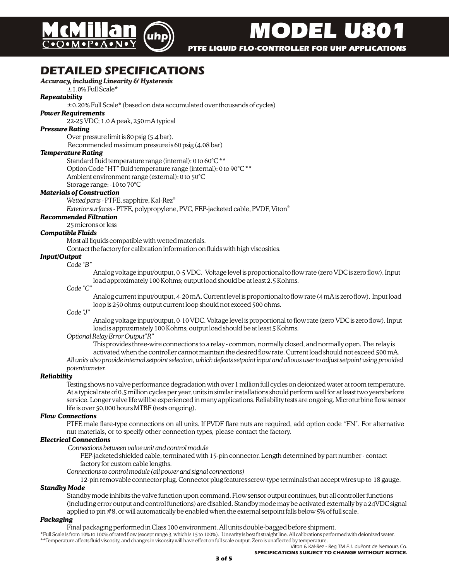

*MODEL U801*

 *PTFE LIQUID FLO-CONTROLLER FOR UHP APPLICATIONS*

# **DETAILED SPECIFICATIONS**

### *Accuracy, including Linearity & Hysteresis*

### $±1.0\%$  Full Scale\*

*Repeatability*

 $\pm$ 0.20% Full Scale\* (based on data accumulated over thousands of cycles)

### *Power Requirements*

22-25 VDC; 1.0 A peak, 250 mA typical

### *Pressure Rating*

Over pressure limit is 80 psig (5.4 bar).

Recommended maximum pressure is 60 psig (4.08 bar)

### *Temperature Rating*

Standard fluid temperature range (internal): 0 to 60°C \*\* Option Code "HT" fluid temperature range (internal): 0 to 90°C \*\* Ambient environment range (external): 0 to 50°C Storage range: -10 to 70°C

### *Materials of Construction*

® *Wetted parts -* PTFE, sapphire, Kal-Rez

® *Exterior surfaces -* PTFE, polypropylene, PVC, FEP-jacketed cable, PVDF, Viton

*Recommended Filtration*

25 microns or less

### *Compatible Fluids*

Most all liquids compatible with wetted materials.

Contact the factory for calibration information on fluids with high viscosities.

### *Input/Output*

*Code "B"*

Analog voltage input/output, 0-5 VDC. Voltage level is proportional to flow rate (zero VDC is zero flow). Input load approximately 100 Kohms; output load should be at least 2.5 Kohms.

### *Code "C"*

Analog current input/output, 4-20 mA. Current level is proportional to flow rate (4 mA is zero flow). Input load loop is 250 ohms; output current loop should not exceed 500 ohms.

*Code "J"*

Analog voltage input/output, 0-10 VDC. Voltage level is proportional to flow rate (zero VDC is zero flow). Input load is approximately 100 Kohms; output load should be at least 5 Kohms.

### *Optional Relay Error Output"R"*

This provides three-wire connections to a relay - common, normally closed, and normally open. The relay is activated when the controller cannot maintain the desired flow rate. Current load should not exceed 500 mA.

*All units also provide internal setpoint selection, which defeats setpoint input and allows user to adjust setpoint using provided potentiometer.*

### *Reliability*

Testing shows no valve performance degradation with over 1 million full cycles on deionized water at room temperature. At a typical rate of 0.5 million cycles per year, units in similar installations should perform well for at least two years before service. Longer valve life will be experienced in many applications. Reliability tests are ongoing. Microturbine flow sensor life is over 50,000 hours MTBF (tests ongoing).

### *Flow Connections*

PTFE male flare-type connections on all units. If PVDF flare nuts are required, add option code "FN". For alternative nut materials, or to specify other connection types, please contact the factory.

### *Electrical Connections*

*Connections between valve unit and control module*

FEP-jacketed shielded cable, terminated with 15-pin connector. Length determined by part number - contact factory for custom cable lengths.

*Connections to control module (all power and signal connections)*

12-pin removable connector plug. Connector plug features screw-type terminals that accept wires up to 18 gauge. *Standby Mode*

Standby mode inhibits the valve function upon command. Flow sensor output continues, but all controller functions (including error output and control functions) are disabled. Standby mode may be activated externally by a 24VDC signal applied to pin #8, or will automatically be enabled when the external setpoint falls below 5% of full scale.

### *Packaging*

Final packaging performed in Class 100 environment. All units double-bagged before shipment.

\*Full Scale is from 10% to 100% of rated flow (except range 3, which is 15 to 100%). Linearity is best fit straight line. All calibrations performed with deionized water. \*\*Temperature affects fluid viscosity, and changes in viscosity will have effect on full scale output. Zero is unaffected by temperature.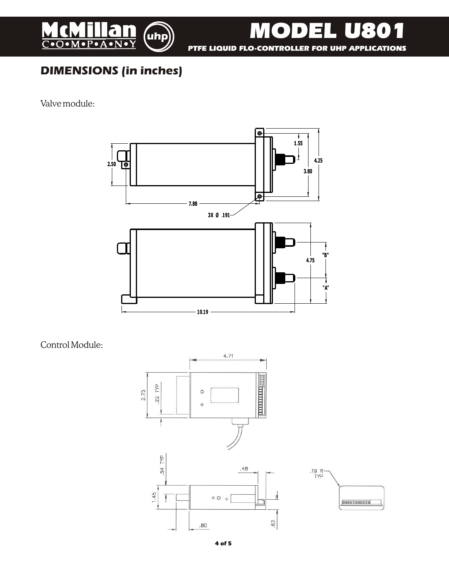

 *PTFE LIQUID FLO-CONTROLLER FOR UHP APPLICATIONS*

*MODEL U801*

# **DIMENSIONS (in inches)**

Valve module:



Control Module:



**4 of 5**